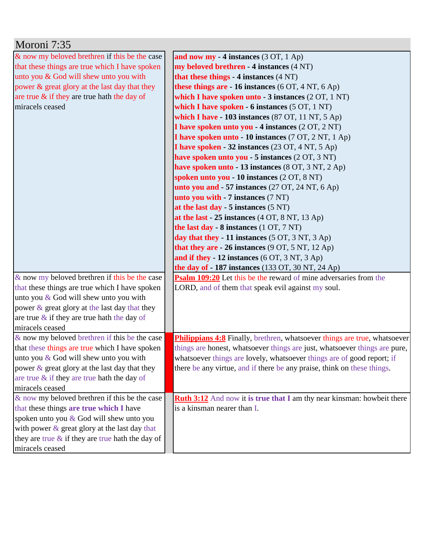| Moroni 7:35                                         |                                                                               |
|-----------------------------------------------------|-------------------------------------------------------------------------------|
| & now my beloved brethren if this be the case       | and now my - 4 instances $(3 OT, 1 Ap)$                                       |
| that these things are true which I have spoken      | my beloved brethren - 4 instances (4 NT)                                      |
| unto you & God will shew unto you with              | that these things - 4 instances (4 NT)                                        |
| power & great glory at the last day that they       | these things are - 16 instances (6 OT, 4 NT, 6 Ap)                            |
| are true $\&$ if they are true hath the day of      | which I have spoken unto $-3$ instances $(2 OT, 1 NT)$                        |
| miracels ceased                                     | which I have spoken $-6$ instances $(5 OT, 1 NT)$                             |
|                                                     | which I have $-103$ instances (87 OT, 11 NT, 5 Ap)                            |
|                                                     | I have spoken unto you - 4 instances (2 OT, 2 NT)                             |
|                                                     | I have spoken unto - 10 instances (7 OT, 2 NT, 1 Ap)                          |
|                                                     | I have spoken - 32 instances (23 OT, 4 NT, 5 Ap)                              |
|                                                     | have spoken unto you - 5 instances (2 OT, 3 NT)                               |
|                                                     | have spoken unto - 13 instances (8 OT, 3 NT, 2 Ap)                            |
|                                                     | spoken unto you - 10 instances (2 OT, 8 NT)                                   |
|                                                     | unto you and $-57$ instances (27 OT, 24 NT, 6 Ap)                             |
|                                                     | unto you with - 7 instances (7 NT)                                            |
|                                                     | at the last day - 5 instances $(5 \text{ NT})$                                |
|                                                     | at the last - $25$ instances $(4 OT, 8 NT, 13 Ap)$                            |
|                                                     | the last day - 8 instances (1 OT, 7 NT)                                       |
|                                                     | day that they - 11 instances $(5 OT, 3 NT, 3 Ap)$                             |
|                                                     | that they are $-26$ instances (9 OT, 5 NT, 12 Ap)                             |
|                                                     | and if they - 12 instances (6 OT, 3 NT, 3 Ap)                                 |
|                                                     | the day of $-187$ instances (133 OT, 30 NT, 24 Ap)                            |
| & now my beloved brethren if this be the case       | <b>Psalm 109:20</b> Let this be the reward of mine adversaries from the       |
| that these things are true which I have spoken      | LORD, and of them that speak evil against my soul.                            |
| unto you $&$ God will shew unto you with            |                                                                               |
| power & great glory at the last day that they       |                                                                               |
| are true $\&$ if they are true hath the day of      |                                                                               |
| miracels ceased                                     |                                                                               |
| & now my beloved brethren if this be the case       | Philippians 4:8 Finally, brethren, whatsoever things are true, whatsoever     |
| that these things are true which I have spoken      | things are honest, whatsoever things are just, whatsoever things are pure,    |
| unto you & God will shew unto you with              | whatsoever things are lovely, whatsoever things are of good report; if        |
| power $\&$ great glory at the last day that they    | there be any virtue, and if there be any praise, think on these things.       |
| are true $\&$ if they are true hath the day of      |                                                                               |
| miracels ceased                                     |                                                                               |
| & now my beloved brethren if this be the case       | <b>Ruth 3:12</b> And now it is true that I am thy near kinsman: howbeit there |
| that these things are true which I have             | is a kinsman nearer than I.                                                   |
| spoken unto you & God will shew unto you            |                                                                               |
| with power & great glory at the last day that       |                                                                               |
| they are true $\&$ if they are true hath the day of |                                                                               |
| miracels ceased                                     |                                                                               |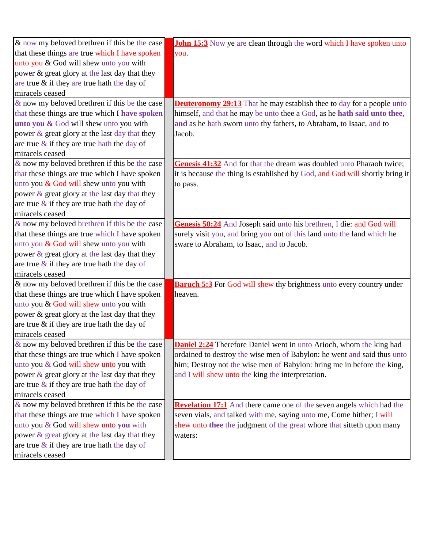| $\&$ now my beloved brethren if this be the case | <b>John 15:3</b> Now ye are clean through the word which I have spoken unto  |
|--------------------------------------------------|------------------------------------------------------------------------------|
| that these things are true which I have spoken   | you.                                                                         |
| unto you & God will shew unto you with           |                                                                              |
| power & great glory at the last day that they    |                                                                              |
| are true & if they are true hath the day of      |                                                                              |
| miracels ceased                                  |                                                                              |
| $\&$ now my beloved brethren if this be the case | <b>Deuteronomy 29:13</b> That he may establish thee to day for a people unto |
| that these things are true which I have spoken   | himself, and that he may be unto thee a God, as he hath said unto thee,      |
| unto you & God will shew unto you with           | and as he hath sworn unto thy fathers, to Abraham, to Isaac, and to          |
| power $\&$ great glory at the last day that they | Jacob.                                                                       |
| are true $\&$ if they are true hath the day of   |                                                                              |
| miracels ceased                                  |                                                                              |
| $\&$ now my beloved brethren if this be the case | Genesis 41:32 And for that the dream was doubled unto Pharaoh twice;         |
| that these things are true which I have spoken   | it is because the thing is established by God, and God will shortly bring it |
| unto you & God will shew unto you with           | to pass.                                                                     |
| power & great glory at the last day that they    |                                                                              |
| are true $\&$ if they are true hath the day of   |                                                                              |
| miracels ceased                                  |                                                                              |
| & now my beloved brethren if this be the case    | Genesis 50:24 And Joseph said unto his brethren, I die: and God will         |
| that these things are true which I have spoken   | surely visit you, and bring you out of this land unto the land which he      |
| unto you & God will shew unto you with           | sware to Abraham, to Isaac, and to Jacob.                                    |
| power & great glory at the last day that they    |                                                                              |
| are true $\&$ if they are true hath the day of   |                                                                              |
| miracels ceased                                  |                                                                              |
| $\&$ now my beloved brethren if this be the case | <b>Baruch 5:3</b> For God will shew thy brightness unto every country under  |
| that these things are true which I have spoken   | heaven.                                                                      |
| unto you & God will shew unto you with           |                                                                              |
| power & great glory at the last day that they    |                                                                              |
| are true $&$ if they are true hath the day of    |                                                                              |
| miracels ceased                                  |                                                                              |
| $\&$ now my beloved brethren if this be the case | <b>Daniel 2:24</b> Therefore Daniel went in unto Arioch, whom the king had   |
| that these things are true which I have spoken   | ordained to destroy the wise men of Babylon: he went and said thus unto      |
| unto you & God will shew unto you with           | him; Destroy not the wise men of Babylon: bring me in before the king,       |
| power & great glory at the last day that they    | and I will shew unto the king the interpretation.                            |
| are true $\&$ if they are true hath the day of   |                                                                              |
| miracels ceased                                  |                                                                              |
| $\&$ now my beloved brethren if this be the case | <b>Revelation 17:1</b> And there came one of the seven angels which had the  |
| that these things are true which I have spoken   | seven vials, and talked with me, saying unto me, Come hither; I will         |
| unto you & God will shew unto you with           | shew unto thee the judgment of the great whore that sitteth upon many        |
| power & great glory at the last day that they    | waters:                                                                      |
| are true $\&$ if they are true hath the day of   |                                                                              |
| miracels ceased                                  |                                                                              |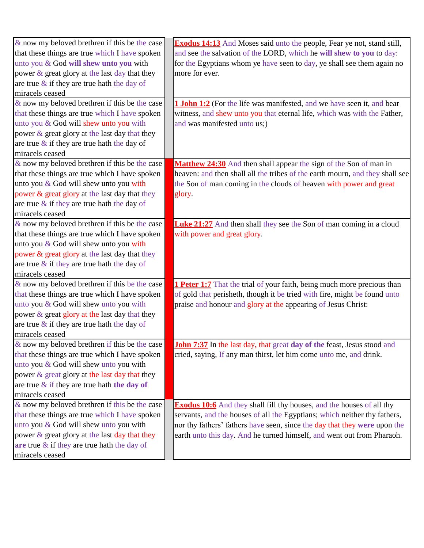| $\&$ now my beloved brethren if this be the case | <b>Exodus 14:13</b> And Moses said unto the people, Fear ye not, stand still,  |
|--------------------------------------------------|--------------------------------------------------------------------------------|
| that these things are true which I have spoken   | and see the salvation of the LORD, which he will shew to you to day:           |
| unto you & God will shew unto you with           | for the Egyptians whom ye have seen to day, ye shall see them again no         |
| power & great glory at the last day that they    | more for ever.                                                                 |
| are true $\&$ if they are true hath the day of   |                                                                                |
| miracels ceased                                  |                                                                                |
| $\&$ now my beloved brethren if this be the case | 1 John 1:2 (For the life was manifested, and we have seen it, and bear         |
| that these things are true which I have spoken   | witness, and shew unto you that eternal life, which was with the Father,       |
| unto you & God will shew unto you with           | and was manifested unto us;)                                                   |
| power & great glory at the last day that they    |                                                                                |
| are true $\&$ if they are true hath the day of   |                                                                                |
| miracels ceased                                  |                                                                                |
| $\&$ now my beloved brethren if this be the case | Matthew 24:30 And then shall appear the sign of the Son of man in              |
| that these things are true which I have spoken   | heaven: and then shall all the tribes of the earth mourn, and they shall see   |
| unto you & God will shew unto you with           | the Son of man coming in the clouds of heaven with power and great             |
| power & great glory at the last day that they    | glory.                                                                         |
| are true $\&$ if they are true hath the day of   |                                                                                |
| miracels ceased                                  |                                                                                |
| & now my beloved brethren if this be the case    | <b>Luke 21:27</b> And then shall they see the Son of man coming in a cloud     |
| that these things are true which I have spoken   | with power and great glory.                                                    |
| unto you & God will shew unto you with           |                                                                                |
| power & great glory at the last day that they    |                                                                                |
| are true $\&$ if they are true hath the day of   |                                                                                |
| miracels ceased                                  |                                                                                |
| & now my beloved brethren if this be the case    | <b>1 Peter 1:7</b> That the trial of your faith, being much more precious than |
| that these things are true which I have spoken   | of gold that perisheth, though it be tried with fire, might be found unto      |
| unto you & God will shew unto you with           | praise and honour and glory at the appearing of Jesus Christ:                  |
| power & great glory at the last day that they    |                                                                                |
| are true $\&$ if they are true hath the day of   |                                                                                |
| miracels ceased                                  |                                                                                |
| & now my beloved brethren if this be the case    | John 7:37 In the last day, that great day of the feast, Jesus stood and        |
| that these things are true which I have spoken   | cried, saying, If any man thirst, let him come unto me, and drink.             |
| unto you & God will shew unto you with           |                                                                                |
| power & great glory at the last day that they    |                                                                                |
| are true $\&$ if they are true hath the day of   |                                                                                |
| miracels ceased                                  |                                                                                |
| & now my beloved brethren if this be the case    | Exodus 10:6 And they shall fill thy houses, and the houses of all thy          |
| that these things are true which I have spoken   | servants, and the houses of all the Egyptians; which neither thy fathers,      |
| unto you & God will shew unto you with           | nor thy fathers' fathers have seen, since the day that they were upon the      |
| power & great glory at the last day that they    | earth unto this day. And he turned himself, and went out from Pharaoh.         |
| are true $\&$ if they are true hath the day of   |                                                                                |
| miracels ceased                                  |                                                                                |